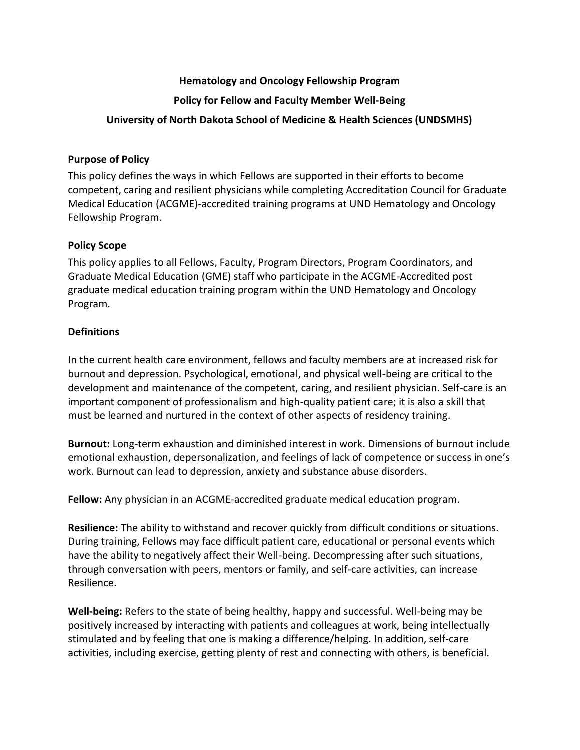# **Hematology and Oncology Fellowship Program**

### **Policy for Fellow and Faculty Member Well-Being**

### **University of North Dakota School of Medicine & Health Sciences (UNDSMHS)**

#### **Purpose of Policy**

This policy defines the ways in which Fellows are supported in their efforts to become competent, caring and resilient physicians while completing Accreditation Council for Graduate Medical Education (ACGME)-accredited training programs at UND Hematology and Oncology Fellowship Program.

#### **Policy Scope**

This policy applies to all Fellows, Faculty, Program Directors, Program Coordinators, and Graduate Medical Education (GME) staff who participate in the ACGME-Accredited post graduate medical education training program within the UND Hematology and Oncology Program.

#### **Definitions**

In the current health care environment, fellows and faculty members are at increased risk for burnout and depression. Psychological, emotional, and physical well-being are critical to the development and maintenance of the competent, caring, and resilient physician. Self-care is an important component of professionalism and high-quality patient care; it is also a skill that must be learned and nurtured in the context of other aspects of residency training.

**Burnout:** Long-term exhaustion and diminished interest in work. Dimensions of burnout include emotional exhaustion, depersonalization, and feelings of lack of competence or success in one's work. Burnout can lead to depression, anxiety and substance abuse disorders.

**Fellow:** Any physician in an ACGME-accredited graduate medical education program.

**Resilience:** The ability to withstand and recover quickly from difficult conditions or situations. During training, Fellows may face difficult patient care, educational or personal events which have the ability to negatively affect their Well-being. Decompressing after such situations, through conversation with peers, mentors or family, and self-care activities, can increase Resilience.

**Well-being:** Refers to the state of being healthy, happy and successful. Well-being may be positively increased by interacting with patients and colleagues at work, being intellectually stimulated and by feeling that one is making a difference/helping. In addition, self-care activities, including exercise, getting plenty of rest and connecting with others, is beneficial.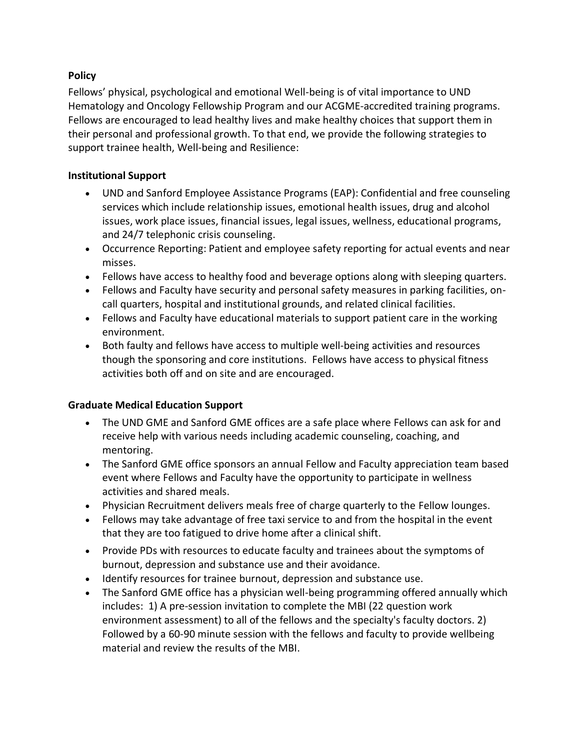# **Policy**

Fellows' physical, psychological and emotional Well-being is of vital importance to UND Hematology and Oncology Fellowship Program and our ACGME-accredited training programs. Fellows are encouraged to lead healthy lives and make healthy choices that support them in their personal and professional growth. To that end, we provide the following strategies to support trainee health, Well-being and Resilience:

# **Institutional Support**

- UND and Sanford Employee Assistance Programs (EAP): Confidential and free counseling services which include relationship issues, emotional health issues, drug and alcohol issues, work place issues, financial issues, legal issues, wellness, educational programs, and 24/7 telephonic crisis counseling.
- Occurrence Reporting: Patient and employee safety reporting for actual events and near misses.
- Fellows have access to healthy food and beverage options along with sleeping quarters.
- Fellows and Faculty have security and personal safety measures in parking facilities, oncall quarters, hospital and institutional grounds, and related clinical facilities.
- Fellows and Faculty have educational materials to support patient care in the working environment.
- Both faulty and fellows have access to multiple well-being activities and resources though the sponsoring and core institutions. Fellows have access to physical fitness activities both off and on site and are encouraged.

# **Graduate Medical Education Support**

- The UND GME and Sanford GME offices are a safe place where Fellows can ask for and receive help with various needs including academic counseling, coaching, and mentoring.
- The Sanford GME office sponsors an annual Fellow and Faculty appreciation team based event where Fellows and Faculty have the opportunity to participate in wellness activities and shared meals.
- Physician Recruitment delivers meals free of charge quarterly to the Fellow lounges.
- Fellows may take advantage of free taxi service to and from the hospital in the event that they are too fatigued to drive home after a clinical shift.
- Provide PDs with resources to educate faculty and trainees about the symptoms of burnout, depression and substance use and their avoidance.
- Identify resources for trainee burnout, depression and substance use.
- The Sanford GME office has a physician well-being programming offered annually which includes: 1) A pre-session invitation to complete the MBI (22 question work environment assessment) to all of the fellows and the specialty's faculty doctors. 2) Followed by a 60-90 minute session with the fellows and faculty to provide wellbeing material and review the results of the MBI.